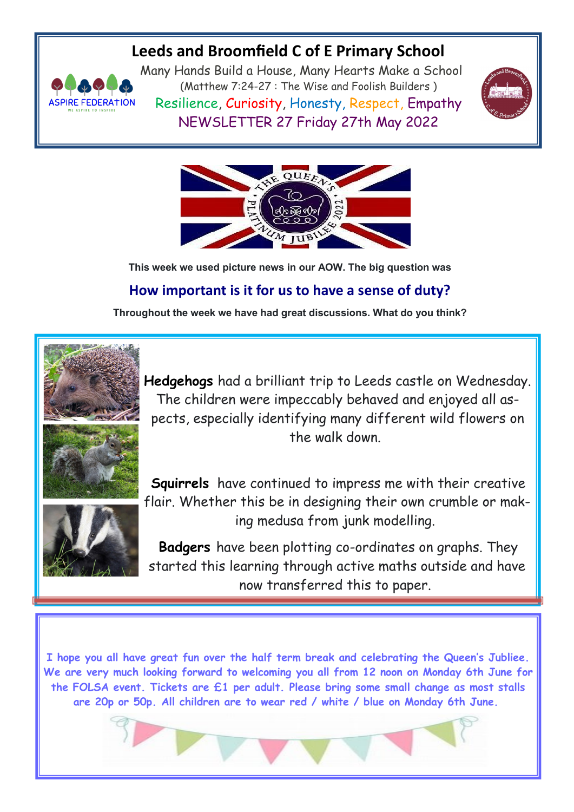## **Leeds and Broomfield C of E Primary School**



Many Hands Build a House, Many Hearts Make a School (Matthew 7:24-27 : The Wise and Foolish Builders ) Resilience, Curiosity, Honesty, Respect, Empathy NEWSLETTER 27 Friday 27th May 2022





**This week we used picture news in our AOW. The big question was**

## **How important is it for us to have a sense of duty?**

**Throughout the week we have had great discussions. What do you think?**



**Hedgehogs** had a brilliant trip to Leeds castle on Wednesday. The children were impeccably behaved and enjoyed all aspects, especially identifying many different wild flowers on the walk down.



**Squirrels** have continued to impress me with their creative flair. Whether this be in designing their own crumble or making medusa from junk modelling.

**Badgers** have been plotting co-ordinates on graphs. They started this learning through active maths outside and have now transferred this to paper.

**I hope you all have great fun over the half term break and celebrating the Queen's Jubliee. We are very much looking forward to welcoming you all from 12 noon on Monday 6th June for the FOLSA event. Tickets are £1 per adult. Please bring some small change as most stalls are 20p or 50p. All children are to wear red / white / blue on Monday 6th June.**

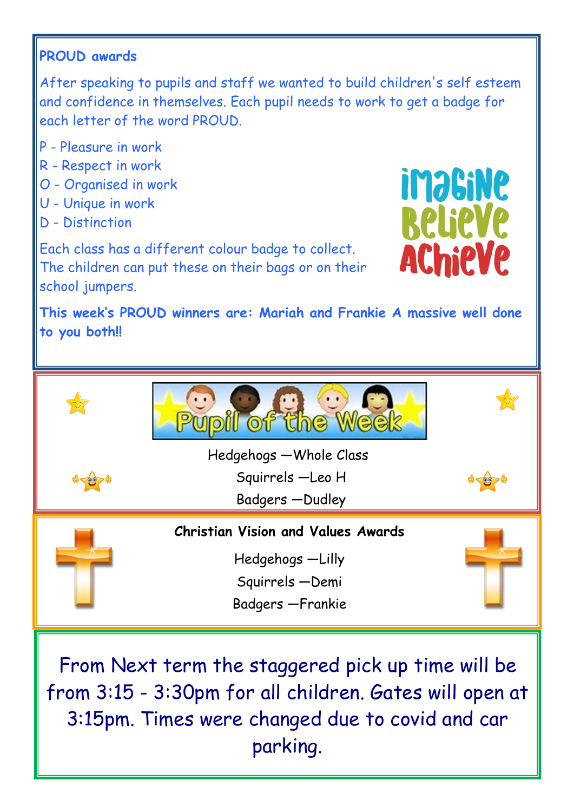## **PROUD awards**

After speaking to pupils and staff we wanted to build children's self esteem and confidence in themselves. Each pupil needs to work to get a badge for each letter of the word PROUD.

- P Pleasure in work
- R Respect in work
- O Organised in work
- U Unique in work
- D Distinction

**imaGiNe Relieve AChieVe** 

Each class has a different colour badge to collect. The children can put these on their bags or on their school jumpers.

**This week's PROUD winners are: Mariah and Frankie A massive well done to you both!!** 



From Next term the staggered pick up time will be from 3:15 - 3:30pm for all children. Gates will open at 3:15pm. Times were changed due to covid and car parking.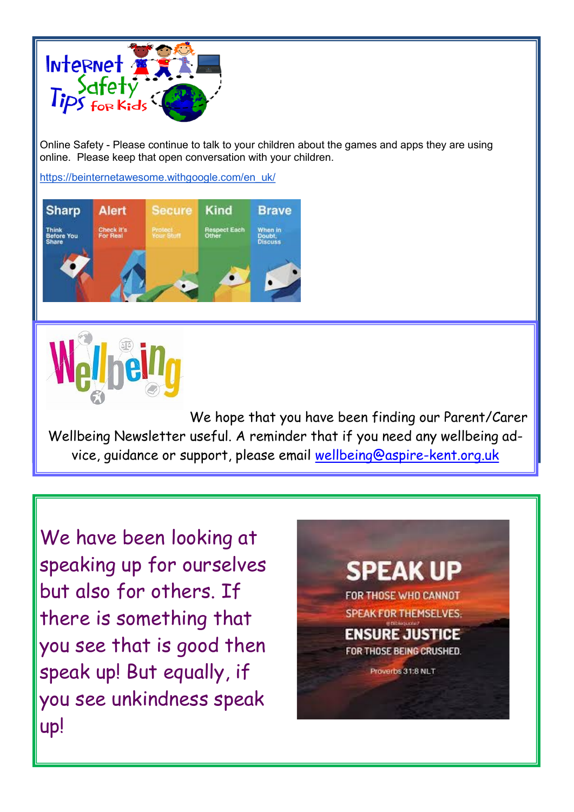

Online Safety - Please continue to talk to your children about the games and apps they are using online. Please keep that open conversation with your children.

[https://beinternetawesome.withgoogle.com/en\\_uk/](https://beinternetawesome.withgoogle.com/en_uk/)





We hope that you have been finding our Parent/Carer Wellbeing Newsletter useful. A reminder that if you need any wellbeing advice, guidance or support, please email [wellbeing@aspire-kent.org.uk](mailto:wellbeing@aspire-kent.org.uk)

We have been looking at speaking up for ourselves but also for others. If there is something that you see that is good then speak up! But equally, if you see unkindness speak up!